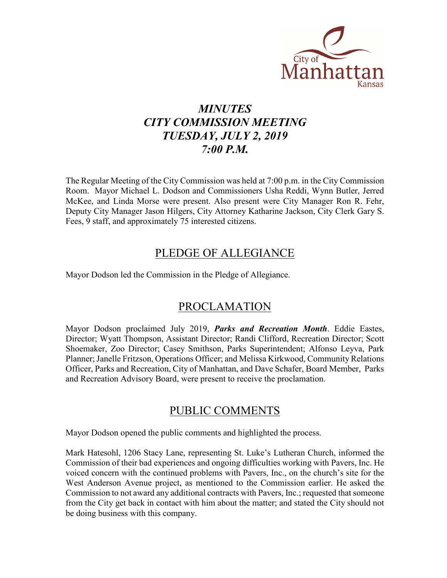

### *MINUTES CITY COMMISSION MEETING TUESDAY, JULY 2, 2019 7:00 P.M.*

The Regular Meeting of the City Commission was held at 7:00 p.m. in the City Commission Room. Mayor Michael L. Dodson and Commissioners Usha Reddi, Wynn Butler, Jerred McKee, and Linda Morse were present. Also present were City Manager Ron R. Fehr, Deputy City Manager Jason Hilgers, City Attorney Katharine Jackson, City Clerk Gary S. Fees, 9 staff, and approximately 75 interested citizens.

### PLEDGE OF ALLEGIANCE

Mayor Dodson led the Commission in the Pledge of Allegiance.

### PROCLAMATION

Mayor Dodson proclaimed July 2019, *Parks and Recreation Month*. Eddie Eastes, Director; Wyatt Thompson, Assistant Director; Randi Clifford, Recreation Director; Scott Shoemaker, Zoo Director; Casey Smithson, Parks Superintendent; Alfonso Leyva, Park Planner; Janelle Fritzson, Operations Officer; and Melissa Kirkwood, Community Relations Officer, Parks and Recreation, City of Manhattan, and Dave Schafer, Board Member, Parks and Recreation Advisory Board, were present to receive the proclamation.

### PUBLIC COMMENTS

Mayor Dodson opened the public comments and highlighted the process.

Mark Hatesohl, 1206 Stacy Lane, representing St. Luke's Lutheran Church, informed the Commission of their bad experiences and ongoing difficulties working with Pavers, Inc. He voiced concern with the continued problems with Pavers, Inc., on the church's site for the West Anderson Avenue project, as mentioned to the Commission earlier. He asked the Commission to not award any additional contracts with Pavers, Inc.; requested that someone from the City get back in contact with him about the matter; and stated the City should not be doing business with this company.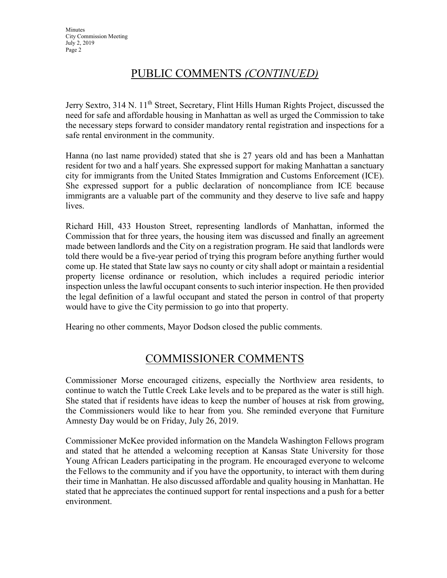### PUBLIC COMMENTS *(CONTINUED)*

Jerry Sextro, 314 N. 11<sup>th</sup> Street, Secretary, Flint Hills Human Rights Project, discussed the need for safe and affordable housing in Manhattan as well as urged the Commission to take the necessary steps forward to consider mandatory rental registration and inspections for a safe rental environment in the community.

Hanna (no last name provided) stated that she is 27 years old and has been a Manhattan resident for two and a half years. She expressed support for making Manhattan a sanctuary city for immigrants from the United States Immigration and Customs Enforcement (ICE). She expressed support for a public declaration of noncompliance from ICE because immigrants are a valuable part of the community and they deserve to live safe and happy lives.

Richard Hill, 433 Houston Street, representing landlords of Manhattan, informed the Commission that for three years, the housing item was discussed and finally an agreement made between landlords and the City on a registration program. He said that landlords were told there would be a five-year period of trying this program before anything further would come up. He stated that State law says no county or city shall adopt or maintain a residential property license ordinance or resolution, which includes a required periodic interior inspection unless the lawful occupant consents to such interior inspection. He then provided the legal definition of a lawful occupant and stated the person in control of that property would have to give the City permission to go into that property.

Hearing no other comments, Mayor Dodson closed the public comments.

### COMMISSIONER COMMENTS

Commissioner Morse encouraged citizens, especially the Northview area residents, to continue to watch the Tuttle Creek Lake levels and to be prepared as the water is still high. She stated that if residents have ideas to keep the number of houses at risk from growing, the Commissioners would like to hear from you. She reminded everyone that Furniture Amnesty Day would be on Friday, July 26, 2019.

Commissioner McKee provided information on the Mandela Washington Fellows program and stated that he attended a welcoming reception at Kansas State University for those Young African Leaders participating in the program. He encouraged everyone to welcome the Fellows to the community and if you have the opportunity, to interact with them during their time in Manhattan. He also discussed affordable and quality housing in Manhattan. He stated that he appreciates the continued support for rental inspections and a push for a better environment.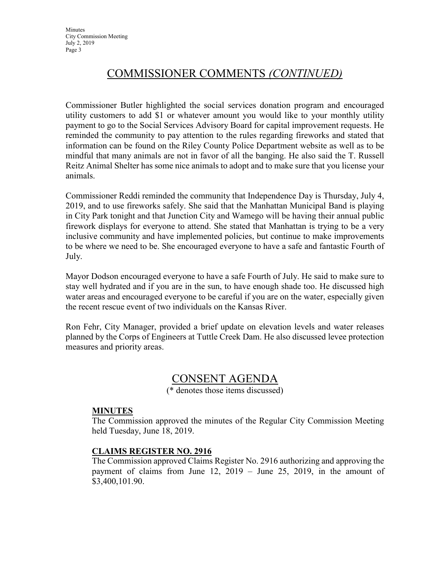### COMMISSIONER COMMENTS *(CONTINUED)*

Commissioner Butler highlighted the social services donation program and encouraged utility customers to add \$1 or whatever amount you would like to your monthly utility payment to go to the Social Services Advisory Board for capital improvement requests. He reminded the community to pay attention to the rules regarding fireworks and stated that information can be found on the Riley County Police Department website as well as to be mindful that many animals are not in favor of all the banging. He also said the T. Russell Reitz Animal Shelter has some nice animals to adopt and to make sure that you license your animals.

Commissioner Reddi reminded the community that Independence Day is Thursday, July 4, 2019, and to use fireworks safely. She said that the Manhattan Municipal Band is playing in City Park tonight and that Junction City and Wamego will be having their annual public firework displays for everyone to attend. She stated that Manhattan is trying to be a very inclusive community and have implemented policies, but continue to make improvements to be where we need to be. She encouraged everyone to have a safe and fantastic Fourth of July.

Mayor Dodson encouraged everyone to have a safe Fourth of July. He said to make sure to stay well hydrated and if you are in the sun, to have enough shade too. He discussed high water areas and encouraged everyone to be careful if you are on the water, especially given the recent rescue event of two individuals on the Kansas River.

Ron Fehr, City Manager, provided a brief update on elevation levels and water releases planned by the Corps of Engineers at Tuttle Creek Dam. He also discussed levee protection measures and priority areas.

### CONSENT AGENDA

(\* denotes those items discussed)

### **MINUTES**

The Commission approved the minutes of the Regular City Commission Meeting held Tuesday, June 18, 2019.

### **CLAIMS REGISTER NO. 2916**

The Commission approved Claims Register No. 2916 authorizing and approving the payment of claims from June 12, 2019 – June 25, 2019, in the amount of \$3,400,101.90.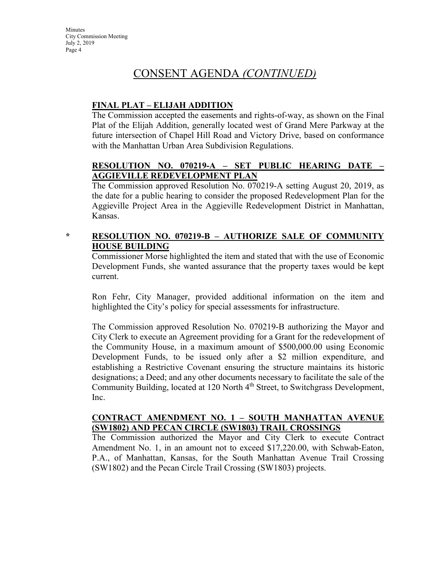### CONSENT AGENDA *(CONTINUED)*

### **FINAL PLAT – ELIJAH ADDITION**

The Commission accepted the easements and rights-of-way, as shown on the Final Plat of the Elijah Addition, generally located west of Grand Mere Parkway at the future intersection of Chapel Hill Road and Victory Drive, based on conformance with the Manhattan Urban Area Subdivision Regulations.

### **RESOLUTION NO. 070219-A – SET PUBLIC HEARING DATE – AGGIEVILLE REDEVELOPMENT PLAN**

The Commission approved Resolution No. 070219-A setting August 20, 2019, as the date for a public hearing to consider the proposed Redevelopment Plan for the Aggieville Project Area in the Aggieville Redevelopment District in Manhattan, Kansas.

### **\* RESOLUTION NO. 070219-B – AUTHORIZE SALE OF COMMUNITY HOUSE BUILDING**

Commissioner Morse highlighted the item and stated that with the use of Economic Development Funds, she wanted assurance that the property taxes would be kept current.

Ron Fehr, City Manager, provided additional information on the item and highlighted the City's policy for special assessments for infrastructure.

The Commission approved Resolution No. 070219-B authorizing the Mayor and City Clerk to execute an Agreement providing for a Grant for the redevelopment of the Community House, in a maximum amount of \$500,000.00 using Economic Development Funds, to be issued only after a \$2 million expenditure, and establishing a Restrictive Covenant ensuring the structure maintains its historic designations; a Deed; and any other documents necessary to facilitate the sale of the Community Building, located at 120 North 4<sup>th</sup> Street, to Switchgrass Development, Inc.

### **CONTRACT AMENDMENT NO. 1 – SOUTH MANHATTAN AVENUE (SW1802) AND PECAN CIRCLE (SW1803) TRAIL CROSSINGS**

The Commission authorized the Mayor and City Clerk to execute Contract Amendment No. 1, in an amount not to exceed \$17,220.00, with Schwab-Eaton, P.A., of Manhattan, Kansas, for the South Manhattan Avenue Trail Crossing (SW1802) and the Pecan Circle Trail Crossing (SW1803) projects.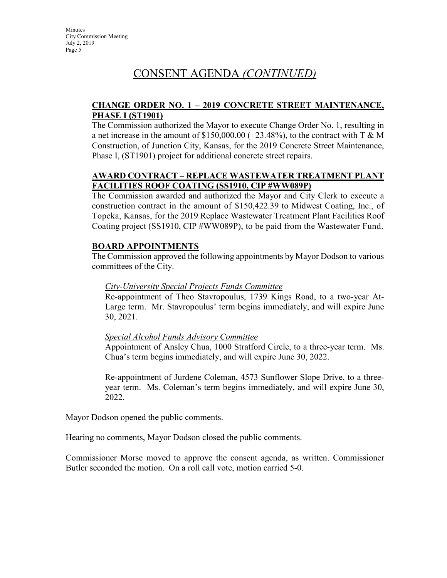### CONSENT AGENDA *(CONTINUED)*

### **CHANGE ORDER NO. 1 – 2019 CONCRETE STREET MAINTENANCE, PHASE I (ST1901)**

The Commission authorized the Mayor to execute Change Order No. 1, resulting in a net increase in the amount of  $$150,000.00 (+23.48%)$ , to the contract with T & M Construction, of Junction City, Kansas, for the 2019 Concrete Street Maintenance, Phase I, (ST1901) project for additional concrete street repairs.

### **AWARD CONTRACT – REPLACE WASTEWATER TREATMENT PLANT FACILITIES ROOF COATING (SS1910, CIP #WW089P)**

The Commission awarded and authorized the Mayor and City Clerk to execute a construction contract in the amount of \$150,422.39 to Midwest Coating, Inc., of Topeka, Kansas, for the 2019 Replace Wastewater Treatment Plant Facilities Roof Coating project (SS1910, CIP #WW089P), to be paid from the Wastewater Fund.

### **BOARD APPOINTMENTS**

The Commission approved the following appointments by Mayor Dodson to various committees of the City.

### *City-University Special Projects Funds Committee*

Re-appointment of Theo Stavropoulus, 1739 Kings Road, to a two-year At-Large term. Mr. Stavropoulus' term begins immediately, and will expire June 30, 2021.

### *Special Alcohol Funds Advisory Committee*

Appointment of Ansley Chua, 1000 Stratford Circle, to a three-year term. Ms. Chua's term begins immediately, and will expire June 30, 2022.

Re-appointment of Jurdene Coleman, 4573 Sunflower Slope Drive, to a threeyear term. Ms. Coleman's term begins immediately, and will expire June 30, 2022.

Mayor Dodson opened the public comments.

Hearing no comments, Mayor Dodson closed the public comments.

Commissioner Morse moved to approve the consent agenda, as written. Commissioner Butler seconded the motion. On a roll call vote, motion carried 5-0.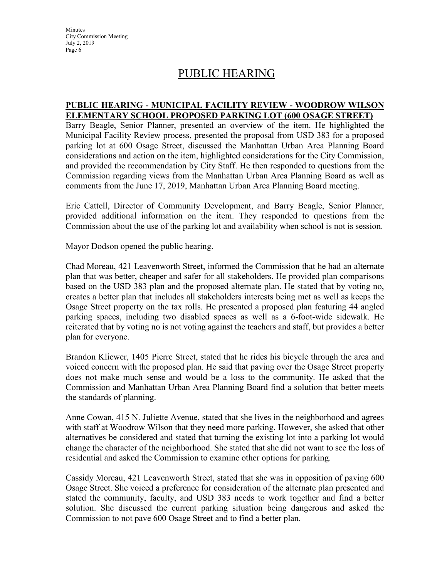### PUBLIC HEARING

#### **PUBLIC HEARING - MUNICIPAL FACILITY REVIEW - WOODROW WILSON ELEMENTARY SCHOOL PROPOSED PARKING LOT (600 OSAGE STREET)**

Barry Beagle, Senior Planner, presented an overview of the item. He highlighted the Municipal Facility Review process, presented the proposal from USD 383 for a proposed parking lot at 600 Osage Street, discussed the Manhattan Urban Area Planning Board considerations and action on the item, highlighted considerations for the City Commission, and provided the recommendation by City Staff. He then responded to questions from the Commission regarding views from the Manhattan Urban Area Planning Board as well as comments from the June 17, 2019, Manhattan Urban Area Planning Board meeting.

Eric Cattell, Director of Community Development, and Barry Beagle, Senior Planner, provided additional information on the item. They responded to questions from the Commission about the use of the parking lot and availability when school is not is session.

Mayor Dodson opened the public hearing.

Chad Moreau, 421 Leavenworth Street, informed the Commission that he had an alternate plan that was better, cheaper and safer for all stakeholders. He provided plan comparisons based on the USD 383 plan and the proposed alternate plan. He stated that by voting no, creates a better plan that includes all stakeholders interests being met as well as keeps the Osage Street property on the tax rolls. He presented a proposed plan featuring 44 angled parking spaces, including two disabled spaces as well as a 6-foot-wide sidewalk. He reiterated that by voting no is not voting against the teachers and staff, but provides a better plan for everyone.

Brandon Kliewer, 1405 Pierre Street, stated that he rides his bicycle through the area and voiced concern with the proposed plan. He said that paving over the Osage Street property does not make much sense and would be a loss to the community. He asked that the Commission and Manhattan Urban Area Planning Board find a solution that better meets the standards of planning.

Anne Cowan, 415 N. Juliette Avenue, stated that she lives in the neighborhood and agrees with staff at Woodrow Wilson that they need more parking. However, she asked that other alternatives be considered and stated that turning the existing lot into a parking lot would change the character of the neighborhood. She stated that she did not want to see the loss of residential and asked the Commission to examine other options for parking.

Cassidy Moreau, 421 Leavenworth Street, stated that she was in opposition of paving 600 Osage Street. She voiced a preference for consideration of the alternate plan presented and stated the community, faculty, and USD 383 needs to work together and find a better solution. She discussed the current parking situation being dangerous and asked the Commission to not pave 600 Osage Street and to find a better plan.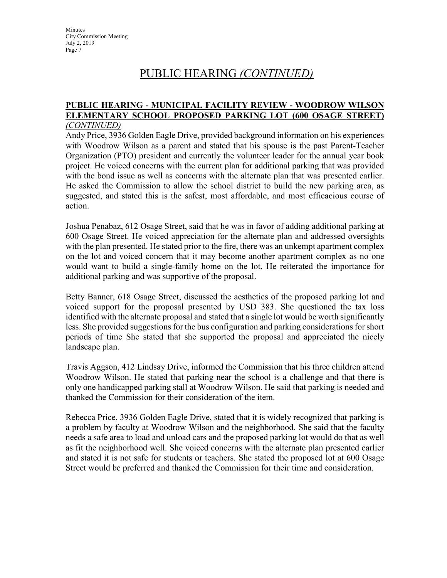#### **PUBLIC HEARING - MUNICIPAL FACILITY REVIEW - WOODROW WILSON ELEMENTARY SCHOOL PROPOSED PARKING LOT (600 OSAGE STREET)**  *(CONTINUED)*

Andy Price, 3936 Golden Eagle Drive, provided background information on his experiences with Woodrow Wilson as a parent and stated that his spouse is the past Parent-Teacher Organization (PTO) president and currently the volunteer leader for the annual year book project. He voiced concerns with the current plan for additional parking that was provided with the bond issue as well as concerns with the alternate plan that was presented earlier. He asked the Commission to allow the school district to build the new parking area, as suggested, and stated this is the safest, most affordable, and most efficacious course of action.

Joshua Penabaz, 612 Osage Street, said that he was in favor of adding additional parking at 600 Osage Street. He voiced appreciation for the alternate plan and addressed oversights with the plan presented. He stated prior to the fire, there was an unkempt apartment complex on the lot and voiced concern that it may become another apartment complex as no one would want to build a single-family home on the lot. He reiterated the importance for additional parking and was supportive of the proposal.

Betty Banner, 618 Osage Street, discussed the aesthetics of the proposed parking lot and voiced support for the proposal presented by USD 383. She questioned the tax loss identified with the alternate proposal and stated that a single lot would be worth significantly less. She provided suggestions for the bus configuration and parking considerations for short periods of time She stated that she supported the proposal and appreciated the nicely landscape plan.

Travis Aggson, 412 Lindsay Drive, informed the Commission that his three children attend Woodrow Wilson. He stated that parking near the school is a challenge and that there is only one handicapped parking stall at Woodrow Wilson. He said that parking is needed and thanked the Commission for their consideration of the item.

Rebecca Price, 3936 Golden Eagle Drive, stated that it is widely recognized that parking is a problem by faculty at Woodrow Wilson and the neighborhood. She said that the faculty needs a safe area to load and unload cars and the proposed parking lot would do that as well as fit the neighborhood well. She voiced concerns with the alternate plan presented earlier and stated it is not safe for students or teachers. She stated the proposed lot at 600 Osage Street would be preferred and thanked the Commission for their time and consideration.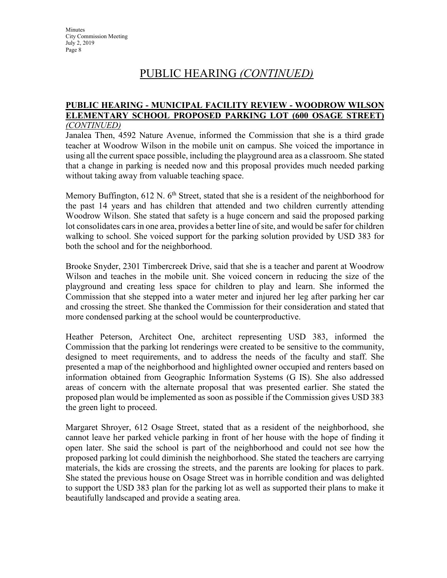#### **PUBLIC HEARING - MUNICIPAL FACILITY REVIEW - WOODROW WILSON ELEMENTARY SCHOOL PROPOSED PARKING LOT (600 OSAGE STREET)**  *(CONTINUED)*

Janalea Then, 4592 Nature Avenue, informed the Commission that she is a third grade teacher at Woodrow Wilson in the mobile unit on campus. She voiced the importance in using all the current space possible, including the playground area as a classroom. She stated that a change in parking is needed now and this proposal provides much needed parking without taking away from valuable teaching space.

Memory Buffington,  $612$  N.  $6<sup>th</sup>$  Street, stated that she is a resident of the neighborhood for the past 14 years and has children that attended and two children currently attending Woodrow Wilson. She stated that safety is a huge concern and said the proposed parking lot consolidates cars in one area, provides a better line of site, and would be safer for children walking to school. She voiced support for the parking solution provided by USD 383 for both the school and for the neighborhood.

Brooke Snyder, 2301 Timbercreek Drive, said that she is a teacher and parent at Woodrow Wilson and teaches in the mobile unit. She voiced concern in reducing the size of the playground and creating less space for children to play and learn. She informed the Commission that she stepped into a water meter and injured her leg after parking her car and crossing the street. She thanked the Commission for their consideration and stated that more condensed parking at the school would be counterproductive.

Heather Peterson, Architect One, architect representing USD 383, informed the Commission that the parking lot renderings were created to be sensitive to the community, designed to meet requirements, and to address the needs of the faculty and staff. She presented a map of the neighborhood and highlighted owner occupied and renters based on information obtained from Geographic Information Systems (G IS). She also addressed areas of concern with the alternate proposal that was presented earlier. She stated the proposed plan would be implemented as soon as possible if the Commission gives USD 383 the green light to proceed.

Margaret Shroyer, 612 Osage Street, stated that as a resident of the neighborhood, she cannot leave her parked vehicle parking in front of her house with the hope of finding it open later. She said the school is part of the neighborhood and could not see how the proposed parking lot could diminish the neighborhood. She stated the teachers are carrying materials, the kids are crossing the streets, and the parents are looking for places to park. She stated the previous house on Osage Street was in horrible condition and was delighted to support the USD 383 plan for the parking lot as well as supported their plans to make it beautifully landscaped and provide a seating area.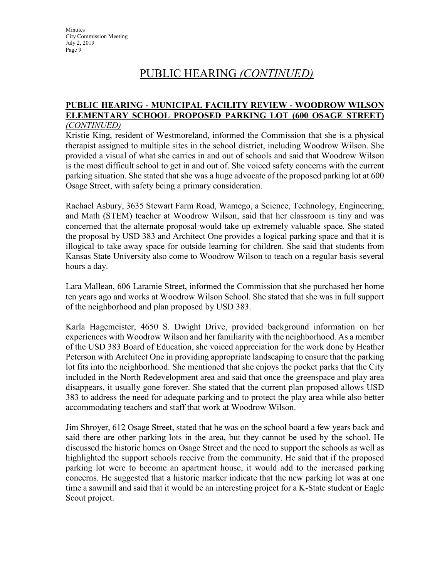#### **PUBLIC HEARING - MUNICIPAL FACILITY REVIEW - WOODROW WILSON ELEMENTARY SCHOOL PROPOSED PARKING LOT (600 OSAGE STREET)**  *(CONTINUED)*

Kristie King, resident of Westmoreland, informed the Commission that she is a physical therapist assigned to multiple sites in the school district, including Woodrow Wilson. She provided a visual of what she carries in and out of schools and said that Woodrow Wilson is the most difficult school to get in and out of. She voiced safety concerns with the current parking situation. She stated that she was a huge advocate of the proposed parking lot at 600 Osage Street, with safety being a primary consideration.

Rachael Asbury, 3635 Stewart Farm Road, Wamego, a Science, Technology, Engineering, and Math (STEM) teacher at Woodrow Wilson, said that her classroom is tiny and was concerned that the alternate proposal would take up extremely valuable space. She stated the proposal by USD 383 and Architect One provides a logical parking space and that it is illogical to take away space for outside learning for children. She said that students from Kansas State University also come to Woodrow Wilson to teach on a regular basis several hours a day.

Lara Mallean, 606 Laramie Street, informed the Commission that she purchased her home ten years ago and works at Woodrow Wilson School. She stated that she was in full support of the neighborhood and plan proposed by USD 383.

Karla Hagemeister, 4650 S. Dwight Drive, provided background information on her experiences with Woodrow Wilson and her familiarity with the neighborhood. As a member of the USD 383 Board of Education, she voiced appreciation for the work done by Heather Peterson with Architect One in providing appropriate landscaping to ensure that the parking lot fits into the neighborhood. She mentioned that she enjoys the pocket parks that the City included in the North Redevelopment area and said that once the greenspace and play area disappears, it usually gone forever. She stated that the current plan proposed allows USD 383 to address the need for adequate parking and to protect the play area while also better accommodating teachers and staff that work at Woodrow Wilson.

Jim Shroyer, 612 Osage Street, stated that he was on the school board a few years back and said there are other parking lots in the area, but they cannot be used by the school. He discussed the historic homes on Osage Street and the need to support the schools as well as highlighted the support schools receive from the community. He said that if the proposed parking lot were to become an apartment house, it would add to the increased parking concerns. He suggested that a historic marker indicate that the new parking lot was at one time a sawmill and said that it would be an interesting project for a K-State student or Eagle Scout project.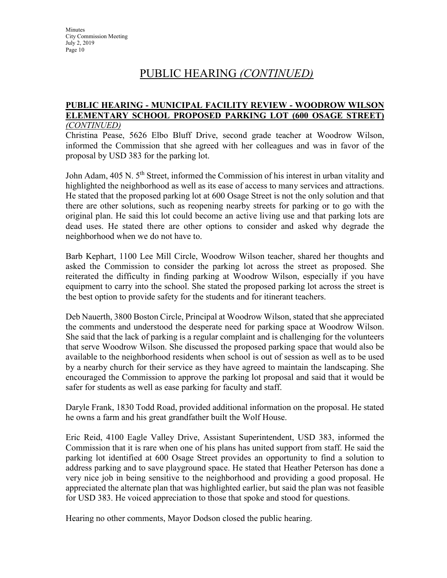#### **PUBLIC HEARING - MUNICIPAL FACILITY REVIEW - WOODROW WILSON ELEMENTARY SCHOOL PROPOSED PARKING LOT (600 OSAGE STREET)**  *(CONTINUED)*

Christina Pease, 5626 Elbo Bluff Drive, second grade teacher at Woodrow Wilson, informed the Commission that she agreed with her colleagues and was in favor of the proposal by USD 383 for the parking lot.

John Adam, 405 N. 5<sup>th</sup> Street, informed the Commission of his interest in urban vitality and highlighted the neighborhood as well as its ease of access to many services and attractions. He stated that the proposed parking lot at 600 Osage Street is not the only solution and that there are other solutions, such as reopening nearby streets for parking or to go with the original plan. He said this lot could become an active living use and that parking lots are dead uses. He stated there are other options to consider and asked why degrade the neighborhood when we do not have to.

Barb Kephart, 1100 Lee Mill Circle, Woodrow Wilson teacher, shared her thoughts and asked the Commission to consider the parking lot across the street as proposed. She reiterated the difficulty in finding parking at Woodrow Wilson, especially if you have equipment to carry into the school. She stated the proposed parking lot across the street is the best option to provide safety for the students and for itinerant teachers.

Deb Nauerth, 3800 Boston Circle, Principal at Woodrow Wilson, stated that she appreciated the comments and understood the desperate need for parking space at Woodrow Wilson. She said that the lack of parking is a regular complaint and is challenging for the volunteers that serve Woodrow Wilson. She discussed the proposed parking space that would also be available to the neighborhood residents when school is out of session as well as to be used by a nearby church for their service as they have agreed to maintain the landscaping. She encouraged the Commission to approve the parking lot proposal and said that it would be safer for students as well as ease parking for faculty and staff.

Daryle Frank, 1830 Todd Road, provided additional information on the proposal. He stated he owns a farm and his great grandfather built the Wolf House.

Eric Reid, 4100 Eagle Valley Drive, Assistant Superintendent, USD 383, informed the Commission that it is rare when one of his plans has united support from staff. He said the parking lot identified at 600 Osage Street provides an opportunity to find a solution to address parking and to save playground space. He stated that Heather Peterson has done a very nice job in being sensitive to the neighborhood and providing a good proposal. He appreciated the alternate plan that was highlighted earlier, but said the plan was not feasible for USD 383. He voiced appreciation to those that spoke and stood for questions.

Hearing no other comments, Mayor Dodson closed the public hearing.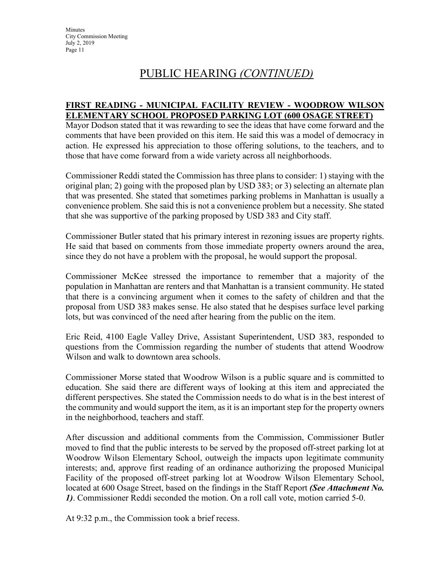### PUBLIC HEARING *(CONTINUED)*

### **FIRST READING - MUNICIPAL FACILITY REVIEW - WOODROW WILSON ELEMENTARY SCHOOL PROPOSED PARKING LOT (600 OSAGE STREET)**

Mayor Dodson stated that it was rewarding to see the ideas that have come forward and the comments that have been provided on this item. He said this was a model of democracy in action. He expressed his appreciation to those offering solutions, to the teachers, and to those that have come forward from a wide variety across all neighborhoods.

Commissioner Reddi stated the Commission has three plans to consider: 1) staying with the original plan; 2) going with the proposed plan by USD 383; or 3) selecting an alternate plan that was presented. She stated that sometimes parking problems in Manhattan is usually a convenience problem. She said this is not a convenience problem but a necessity. She stated that she was supportive of the parking proposed by USD 383 and City staff.

Commissioner Butler stated that his primary interest in rezoning issues are property rights. He said that based on comments from those immediate property owners around the area, since they do not have a problem with the proposal, he would support the proposal.

Commissioner McKee stressed the importance to remember that a majority of the population in Manhattan are renters and that Manhattan is a transient community. He stated that there is a convincing argument when it comes to the safety of children and that the proposal from USD 383 makes sense. He also stated that he despises surface level parking lots, but was convinced of the need after hearing from the public on the item.

Eric Reid, 4100 Eagle Valley Drive, Assistant Superintendent, USD 383, responded to questions from the Commission regarding the number of students that attend Woodrow Wilson and walk to downtown area schools.

Commissioner Morse stated that Woodrow Wilson is a public square and is committed to education. She said there are different ways of looking at this item and appreciated the different perspectives. She stated the Commission needs to do what is in the best interest of the community and would support the item, as it is an important step for the property owners in the neighborhood, teachers and staff.

After discussion and additional comments from the Commission, Commissioner Butler moved to find that the public interests to be served by the proposed off-street parking lot at Woodrow Wilson Elementary School, outweigh the impacts upon legitimate community interests; and, approve first reading of an ordinance authorizing the proposed Municipal Facility of the proposed off-street parking lot at Woodrow Wilson Elementary School, located at 600 Osage Street, based on the findings in the Staff Report *(See Attachment No. 1)*. Commissioner Reddi seconded the motion. On a roll call vote, motion carried 5-0.

At 9:32 p.m., the Commission took a brief recess.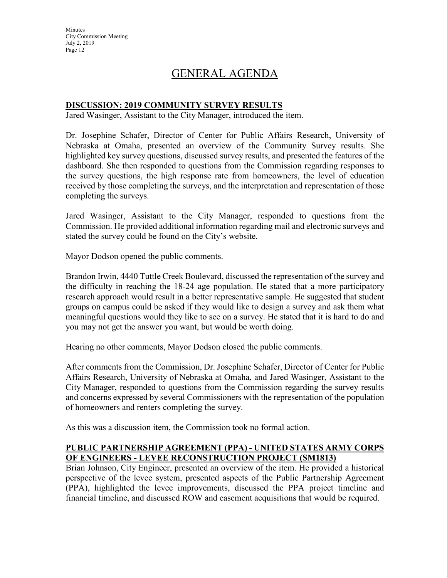### GENERAL AGENDA

### **DISCUSSION: 2019 COMMUNITY SURVEY RESULTS**

Jared Wasinger, Assistant to the City Manager, introduced the item.

Dr. Josephine Schafer, Director of Center for Public Affairs Research, University of Nebraska at Omaha, presented an overview of the Community Survey results. She highlighted key survey questions, discussed survey results, and presented the features of the dashboard. She then responded to questions from the Commission regarding responses to the survey questions, the high response rate from homeowners, the level of education received by those completing the surveys, and the interpretation and representation of those completing the surveys.

Jared Wasinger, Assistant to the City Manager, responded to questions from the Commission. He provided additional information regarding mail and electronic surveys and stated the survey could be found on the City's website.

Mayor Dodson opened the public comments.

Brandon Irwin, 4440 Tuttle Creek Boulevard, discussed the representation of the survey and the difficulty in reaching the 18-24 age population. He stated that a more participatory research approach would result in a better representative sample. He suggested that student groups on campus could be asked if they would like to design a survey and ask them what meaningful questions would they like to see on a survey. He stated that it is hard to do and you may not get the answer you want, but would be worth doing.

Hearing no other comments, Mayor Dodson closed the public comments.

After comments from the Commission, Dr. Josephine Schafer, Director of Center for Public Affairs Research, University of Nebraska at Omaha, and Jared Wasinger, Assistant to the City Manager, responded to questions from the Commission regarding the survey results and concerns expressed by several Commissioners with the representation of the population of homeowners and renters completing the survey.

As this was a discussion item, the Commission took no formal action.

#### **PUBLIC PARTNERSHIP AGREEMENT (PPA) - UNITED STATES ARMY CORPS OF ENGINEERS - LEVEE RECONSTRUCTION PROJECT (SM1813)**

Brian Johnson, City Engineer, presented an overview of the item. He provided a historical perspective of the levee system, presented aspects of the Public Partnership Agreement (PPA), highlighted the levee improvements, discussed the PPA project timeline and financial timeline, and discussed ROW and easement acquisitions that would be required.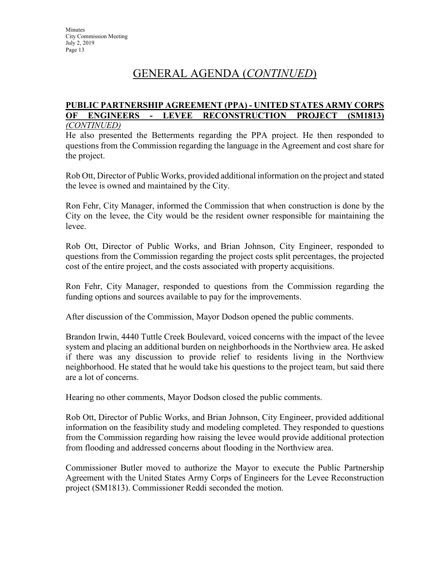### GENERAL AGENDA (*CONTINUED*)

#### **PUBLIC PARTNERSHIP AGREEMENT (PPA) - UNITED STATES ARMY CORPS OF ENGINEERS - LEVEE RECONSTRUCTION PROJECT (SM1813)** *(CONTINUED)*

He also presented the Betterments regarding the PPA project. He then responded to questions from the Commission regarding the language in the Agreement and cost share for the project.

Rob Ott, Director of Public Works, provided additional information on the project and stated the levee is owned and maintained by the City.

Ron Fehr, City Manager, informed the Commission that when construction is done by the City on the levee, the City would be the resident owner responsible for maintaining the levee.

Rob Ott, Director of Public Works, and Brian Johnson, City Engineer, responded to questions from the Commission regarding the project costs split percentages, the projected cost of the entire project, and the costs associated with property acquisitions.

Ron Fehr, City Manager, responded to questions from the Commission regarding the funding options and sources available to pay for the improvements.

After discussion of the Commission, Mayor Dodson opened the public comments.

Brandon Irwin, 4440 Tuttle Creek Boulevard, voiced concerns with the impact of the levee system and placing an additional burden on neighborhoods in the Northview area. He asked if there was any discussion to provide relief to residents living in the Northview neighborhood. He stated that he would take his questions to the project team, but said there are a lot of concerns.

Hearing no other comments, Mayor Dodson closed the public comments.

Rob Ott, Director of Public Works, and Brian Johnson, City Engineer, provided additional information on the feasibility study and modeling completed. They responded to questions from the Commission regarding how raising the levee would provide additional protection from flooding and addressed concerns about flooding in the Northview area.

Commissioner Butler moved to authorize the Mayor to execute the Public Partnership Agreement with the United States Army Corps of Engineers for the Levee Reconstruction project (SM1813). Commissioner Reddi seconded the motion.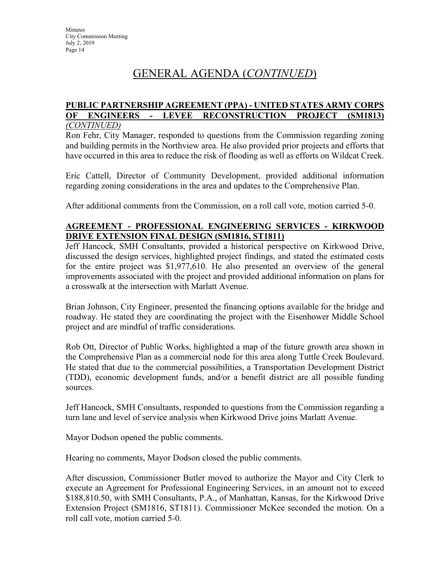### GENERAL AGENDA (*CONTINUED*)

#### **PUBLIC PARTNERSHIP AGREEMENT (PPA) - UNITED STATES ARMY CORPS OF ENGINEERS - LEVEE RECONSTRUCTION PROJECT (SM1813)** *(CONTINUED)*

Ron Fehr, City Manager, responded to questions from the Commission regarding zoning and building permits in the Northview area. He also provided prior projects and efforts that have occurred in this area to reduce the risk of flooding as well as efforts on Wildcat Creek.

Eric Cattell, Director of Community Development, provided additional information regarding zoning considerations in the area and updates to the Comprehensive Plan.

After additional comments from the Commission, on a roll call vote, motion carried 5-0.

### **AGREEMENT - PROFESSIONAL ENGINEERING SERVICES - KIRKWOOD DRIVE EXTENSION FINAL DESIGN (SM1816, ST1811)**

Jeff Hancock, SMH Consultants, provided a historical perspective on Kirkwood Drive, discussed the design services, highlighted project findings, and stated the estimated costs for the entire project was \$1,977,610. He also presented an overview of the general improvements associated with the project and provided additional information on plans for a crosswalk at the intersection with Marlatt Avenue.

Brian Johnson, City Engineer, presented the financing options available for the bridge and roadway. He stated they are coordinating the project with the Eisenhower Middle School project and are mindful of traffic considerations.

Rob Ott, Director of Public Works, highlighted a map of the future growth area shown in the Comprehensive Plan as a commercial node for this area along Tuttle Creek Boulevard. He stated that due to the commercial possibilities, a Transportation Development District (TDD), economic development funds, and/or a benefit district are all possible funding sources.

Jeff Hancock, SMH Consultants, responded to questions from the Commission regarding a turn lane and level of service analysis when Kirkwood Drive joins Marlatt Avenue.

Mayor Dodson opened the public comments.

Hearing no comments, Mayor Dodson closed the public comments.

After discussion, Commissioner Butler moved to authorize the Mayor and City Clerk to execute an Agreement for Professional Engineering Services, in an amount not to exceed \$188,810.50, with SMH Consultants, P.A., of Manhattan, Kansas, for the Kirkwood Drive Extension Project (SM1816, ST1811). Commissioner McKee seconded the motion. On a roll call vote, motion carried 5-0.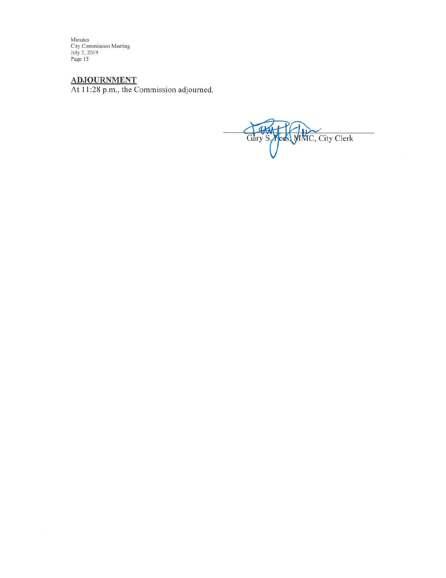Minutes<br>City Commission Meeting<br>July 2, 2019<br>Page 15

ADJOURNMENT<br>At 11:28 p.m., the Commission adjourned.

Gary S. Meds. MMC, City Clerk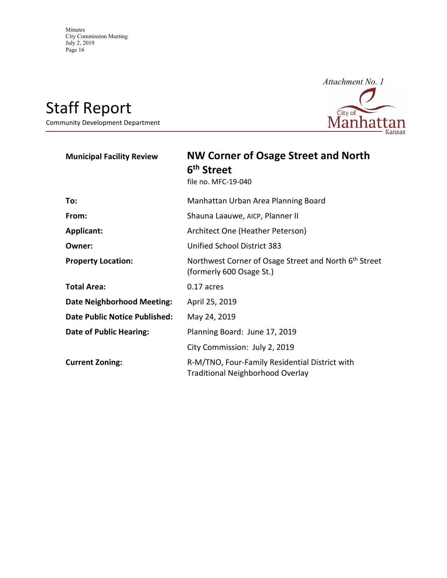# Staff Report

Community Development Department



| <b>Municipal Facility Review</b>     | <b>NW Corner of Osage Street and North</b><br>6 <sup>th</sup> Street<br>file no. MFC-19-040 |
|--------------------------------------|---------------------------------------------------------------------------------------------|
| To:                                  | Manhattan Urban Area Planning Board                                                         |
| From:                                | Shauna Laauwe, AICP, Planner II                                                             |
| <b>Applicant:</b>                    | Architect One (Heather Peterson)                                                            |
| Owner:                               | Unified School District 383                                                                 |
| <b>Property Location:</b>            | Northwest Corner of Osage Street and North 6th Street<br>(formerly 600 Osage St.)           |
| <b>Total Area:</b>                   | 0.17 acres                                                                                  |
| <b>Date Neighborhood Meeting:</b>    | April 25, 2019                                                                              |
| <b>Date Public Notice Published:</b> | May 24, 2019                                                                                |
| <b>Date of Public Hearing:</b>       | Planning Board: June 17, 2019                                                               |
|                                      | City Commission: July 2, 2019                                                               |
| <b>Current Zoning:</b>               | R-M/TNO, Four-Family Residential District with<br><b>Traditional Neighborhood Overlay</b>   |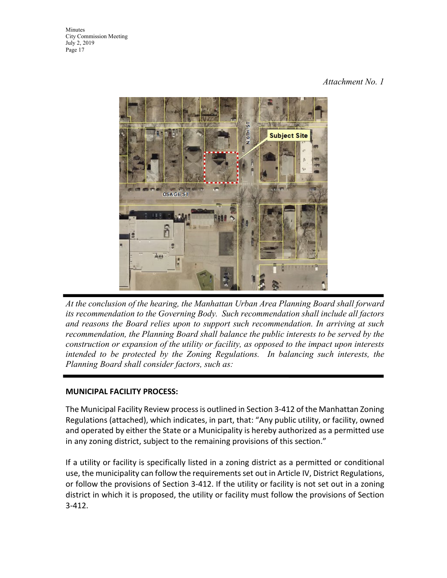### *Attachment No. 1*



*At the conclusion of the hearing, the Manhattan Urban Area Planning Board shall forward its recommendation to the Governing Body. Such recommendation shall include all factors and reasons the Board relies upon to support such recommendation. In arriving at such recommendation, the Planning Board shall balance the public interests to be served by the construction or expansion of the utility or facility, as opposed to the impact upon interests intended to be protected by the Zoning Regulations. In balancing such interests, the Planning Board shall consider factors, such as:*

### **MUNICIPAL FACILITY PROCESS:**

The Municipal Facility Review process is outlined in Section 3-412 of the Manhattan Zoning Regulations (attached), which indicates, in part, that: "Any public utility, or facility, owned and operated by either the State or a Municipality is hereby authorized as a permitted use in any zoning district, subject to the remaining provisions of this section."

If a utility or facility is specifically listed in a zoning district as a permitted or conditional use, the municipality can follow the requirements set out in Article IV, District Regulations, or follow the provisions of Section 3-412. If the utility or facility is not set out in a zoning district in which it is proposed, the utility or facility must follow the provisions of Section 3-412.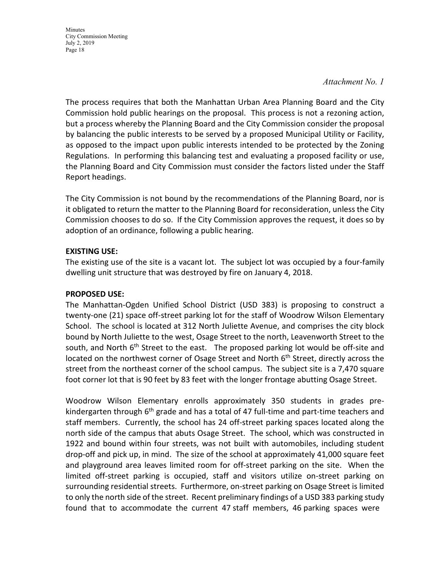#### *Attachment No. 1*

The process requires that both the Manhattan Urban Area Planning Board and the City Commission hold public hearings on the proposal. This process is not a rezoning action, but a process whereby the Planning Board and the City Commission consider the proposal by balancing the public interests to be served by a proposed Municipal Utility or Facility, as opposed to the impact upon public interests intended to be protected by the Zoning Regulations. In performing this balancing test and evaluating a proposed facility or use, the Planning Board and City Commission must consider the factors listed under the Staff Report headings.

The City Commission is not bound by the recommendations of the Planning Board, nor is it obligated to return the matter to the Planning Board for reconsideration, unless the City Commission chooses to do so. If the City Commission approves the request, it does so by adoption of an ordinance, following a public hearing.

### **EXISTING USE:**

The existing use of the site is a vacant lot. The subject lot was occupied by a four-family dwelling unit structure that was destroyed by fire on January 4, 2018.

#### **PROPOSED USE:**

The Manhattan-Ogden Unified School District (USD 383) is proposing to construct a twenty-one (21) space off-street parking lot for the staff of Woodrow Wilson Elementary School. The school is located at 312 North Juliette Avenue, and comprises the city block bound by North Juliette to the west, Osage Street to the north, Leavenworth Street to the south, and North 6<sup>th</sup> Street to the east. The proposed parking lot would be off-site and located on the northwest corner of Osage Street and North 6<sup>th</sup> Street, directly across the street from the northeast corner of the school campus. The subject site is a 7,470 square foot corner lot that is 90 feet by 83 feet with the longer frontage abutting Osage Street.

Woodrow Wilson Elementary enrolls approximately 350 students in grades prekindergarten through 6<sup>th</sup> grade and has a total of 47 full-time and part-time teachers and staff members. Currently, the school has 24 off-street parking spaces located along the north side of the campus that abuts Osage Street. The school, which was constructed in 1922 and bound within four streets, was not built with automobiles, including student drop-off and pick up, in mind. The size of the school at approximately 41,000 square feet and playground area leaves limited room for off-street parking on the site. When the limited off-street parking is occupied, staff and visitors utilize on-street parking on surrounding residential streets. Furthermore, on-street parking on Osage Street is limited to only the north side of the street. Recent preliminary findings of a USD 383 parking study found that to accommodate the current 47 staff members, 46 parking spaces were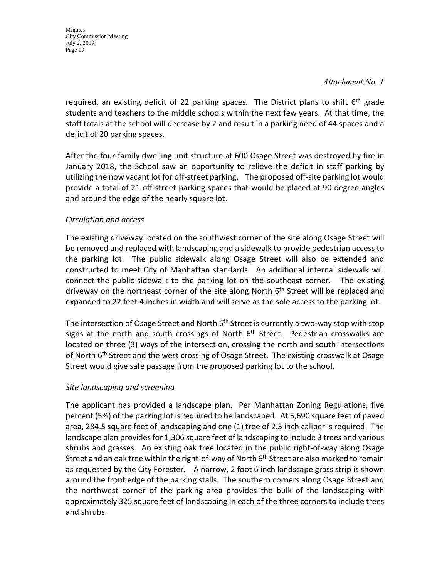*Attachment No. 1*

required, an existing deficit of 22 parking spaces. The District plans to shift  $6<sup>th</sup>$  grade students and teachers to the middle schools within the next few years. At that time, the staff totals at the school will decrease by 2 and result in a parking need of 44 spaces and a deficit of 20 parking spaces.

After the four-family dwelling unit structure at 600 Osage Street was destroyed by fire in January 2018, the School saw an opportunity to relieve the deficit in staff parking by utilizing the now vacant lot for off-street parking. The proposed off-site parking lot would provide a total of 21 off-street parking spaces that would be placed at 90 degree angles and around the edge of the nearly square lot.

### *Circulation and access*

The existing driveway located on the southwest corner of the site along Osage Street will be removed and replaced with landscaping and a sidewalk to provide pedestrian access to the parking lot. The public sidewalk along Osage Street will also be extended and constructed to meet City of Manhattan standards. An additional internal sidewalk will connect the public sidewalk to the parking lot on the southeast corner. The existing driveway on the northeast corner of the site along North 6<sup>th</sup> Street will be replaced and expanded to 22 feet 4 inches in width and will serve as the sole access to the parking lot.

The intersection of Osage Street and North  $6<sup>th</sup>$  Street is currently a two-way stop with stop signs at the north and south crossings of North  $6<sup>th</sup>$  Street. Pedestrian crosswalks are located on three (3) ways of the intersection, crossing the north and south intersections of North 6<sup>th</sup> Street and the west crossing of Osage Street. The existing crosswalk at Osage Street would give safe passage from the proposed parking lot to the school.

### *Site landscaping and screening*

The applicant has provided a landscape plan. Per Manhattan Zoning Regulations, five percent (5%) of the parking lot is required to be landscaped. At 5,690 square feet of paved area, 284.5 square feet of landscaping and one (1) tree of 2.5 inch caliper is required. The landscape plan provides for 1,306 square feet of landscaping to include 3 trees and various shrubs and grasses. An existing oak tree located in the public right-of-way along Osage Street and an oak tree within the right-of-way of North 6<sup>th</sup> Street are also marked to remain as requested by the City Forester. A narrow, 2 foot 6 inch landscape grass strip is shown around the front edge of the parking stalls. The southern corners along Osage Street and the northwest corner of the parking area provides the bulk of the landscaping with approximately 325 square feet of landscaping in each of the three corners to include trees and shrubs.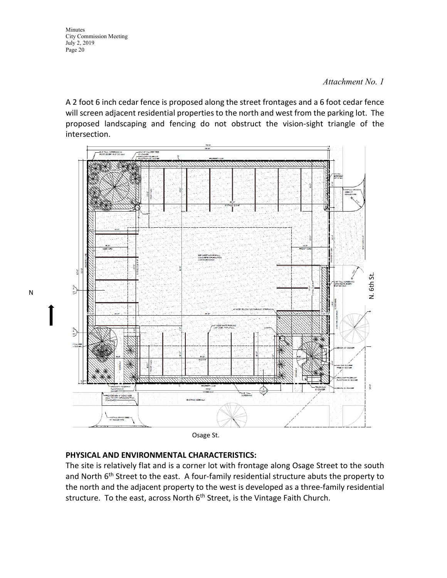#### *Attachment No. 1*

A 2 foot 6 inch cedar fence is proposed along the street frontages and a 6 foot cedar fence will screen adjacent residential properties to the north and west from the parking lot. The proposed landscaping and fencing do not obstruct the vision-sight triangle of the intersection.



Osage St.

#### **PHYSICAL AND ENVIRONMENTAL CHARACTERISTICS:**

The site is relatively flat and is a corner lot with frontage along Osage Street to the south and North  $6<sup>th</sup>$  Street to the east. A four-family residential structure abuts the property to the north and the adjacent property to the west is developed as a three-family residential structure. To the east, across North 6<sup>th</sup> Street, is the Vintage Faith Church.

N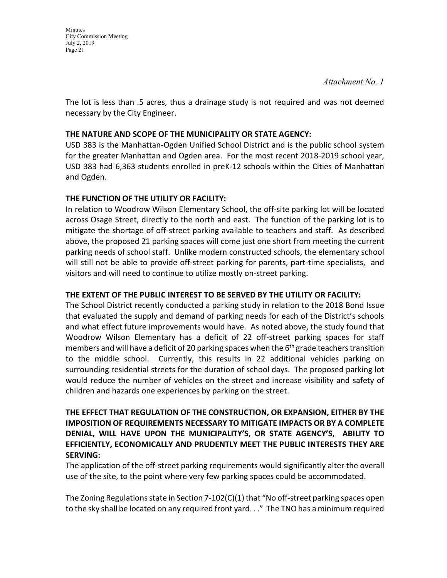*Attachment No. 1*

The lot is less than .5 acres, thus a drainage study is not required and was not deemed necessary by the City Engineer.

### **THE NATURE AND SCOPE OF THE MUNICIPALITY OR STATE AGENCY:**

USD 383 is the Manhattan-Ogden Unified School District and is the public school system for the greater Manhattan and Ogden area. For the most recent 2018-2019 school year, USD 383 had 6,363 students enrolled in preK-12 schools within the Cities of Manhattan and Ogden.

### **THE FUNCTION OF THE UTILITY OR FACILITY:**

In relation to Woodrow Wilson Elementary School, the off-site parking lot will be located across Osage Street, directly to the north and east. The function of the parking lot is to mitigate the shortage of off-street parking available to teachers and staff. As described above, the proposed 21 parking spaces will come just one short from meeting the current parking needs of school staff. Unlike modern constructed schools, the elementary school will still not be able to provide off-street parking for parents, part-time specialists, and visitors and will need to continue to utilize mostly on-street parking.

#### **THE EXTENT OF THE PUBLIC INTEREST TO BE SERVED BY THE UTILITY OR FACILITY:**

The School District recently conducted a parking study in relation to the 2018 Bond Issue that evaluated the supply and demand of parking needs for each of the District's schools and what effect future improvements would have. As noted above, the study found that Woodrow Wilson Elementary has a deficit of 22 off-street parking spaces for staff members and will have a deficit of 20 parking spaces when the  $6<sup>th</sup>$  grade teachers transition to the middle school. Currently, this results in 22 additional vehicles parking on surrounding residential streets for the duration of school days. The proposed parking lot would reduce the number of vehicles on the street and increase visibility and safety of children and hazards one experiences by parking on the street.

### **THE EFFECT THAT REGULATION OF THE CONSTRUCTION, OR EXPANSION, EITHER BY THE IMPOSITION OF REQUIREMENTS NECESSARY TO MITIGATE IMPACTS OR BY A COMPLETE DENIAL, WILL HAVE UPON THE MUNICIPALITY'S, OR STATE AGENCY'S, ABILITY TO EFFICIENTLY, ECONOMICALLY AND PRUDENTLY MEET THE PUBLIC INTERESTS THEY ARE SERVING:**

The application of the off-street parking requirements would significantly alter the overall use of the site, to the point where very few parking spaces could be accommodated.

The Zoning Regulations state in Section 7-102(C)(1) that "No off-street parking spaces open to the sky shall be located on any required front yard. . ." The TNO has a minimum required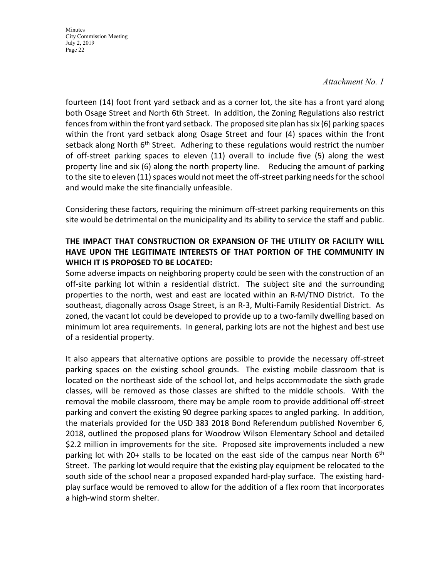#### *Attachment No. 1*

fourteen (14) foot front yard setback and as a corner lot, the site has a front yard along both Osage Street and North 6th Street. In addition, the Zoning Regulations also restrict fences from within the front yard setback. The proposed site plan has six (6) parking spaces within the front yard setback along Osage Street and four (4) spaces within the front setback along North 6<sup>th</sup> Street. Adhering to these regulations would restrict the number of off-street parking spaces to eleven (11) overall to include five (5) along the west property line and six (6) along the north property line. Reducing the amount of parking to the site to eleven (11) spaces would not meet the off-street parking needs for the school and would make the site financially unfeasible.

Considering these factors, requiring the minimum off-street parking requirements on this site would be detrimental on the municipality and its ability to service the staff and public.

### **THE IMPACT THAT CONSTRUCTION OR EXPANSION OF THE UTILITY OR FACILITY WILL HAVE UPON THE LEGITIMATE INTERESTS OF THAT PORTION OF THE COMMUNITY IN WHICH IT IS PROPOSED TO BE LOCATED:**

Some adverse impacts on neighboring property could be seen with the construction of an off-site parking lot within a residential district. The subject site and the surrounding properties to the north, west and east are located within an R-M/TNO District. To the southeast, diagonally across Osage Street, is an R-3, Multi-Family Residential District. As zoned, the vacant lot could be developed to provide up to a two-family dwelling based on minimum lot area requirements. In general, parking lots are not the highest and best use of a residential property.

It also appears that alternative options are possible to provide the necessary off-street parking spaces on the existing school grounds. The existing mobile classroom that is located on the northeast side of the school lot, and helps accommodate the sixth grade classes, will be removed as those classes are shifted to the middle schools. With the removal the mobile classroom, there may be ample room to provide additional off-street parking and convert the existing 90 degree parking spaces to angled parking. In addition, the materials provided for the USD 383 2018 Bond Referendum published November 6, 2018, outlined the proposed plans for Woodrow Wilson Elementary School and detailed \$2.2 million in improvements for the site. Proposed site improvements included a new parking lot with 20+ stalls to be located on the east side of the campus near North  $6<sup>th</sup>$ Street. The parking lot would require that the existing play equipment be relocated to the south side of the school near a proposed expanded hard-play surface. The existing hardplay surface would be removed to allow for the addition of a flex room that incorporates a high-wind storm shelter.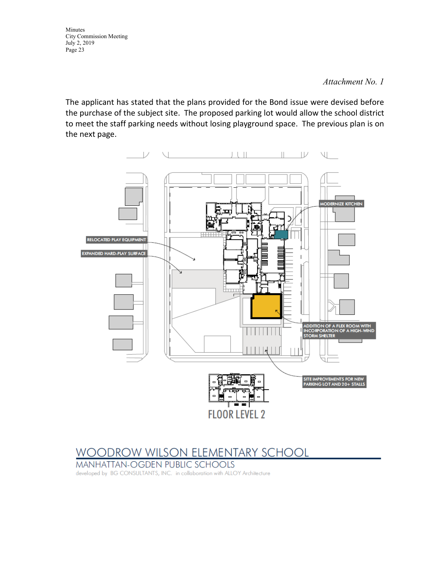#### *Attachment No. 1*

The applicant has stated that the plans provided for the Bond issue were devised before the purchase of the subject site. The proposed parking lot would allow the school district to meet the staff parking needs without losing playground space. The previous plan is on the next page.



### **WOODROW WILSON ELEMENTARY SCHOOL**

MANHATTAN-OGDEN PUBLIC SCHOOLS

developed by BG CONSULTANTS, INC. in collaboration with ALLOY Architecture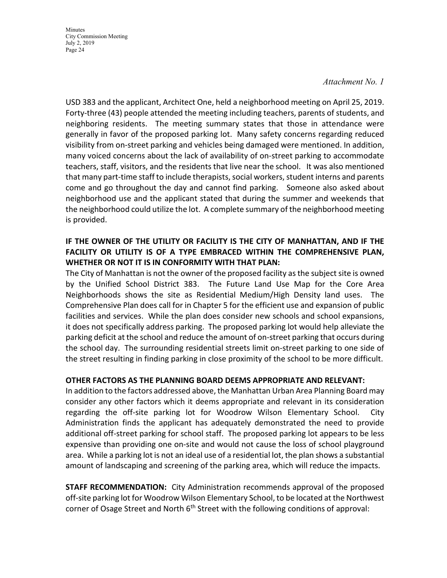#### *Attachment No. 1*

USD 383 and the applicant, Architect One, held a neighborhood meeting on April 25, 2019. Forty-three (43) people attended the meeting including teachers, parents of students, and neighboring residents. The meeting summary states that those in attendance were generally in favor of the proposed parking lot. Many safety concerns regarding reduced visibility from on-street parking and vehicles being damaged were mentioned. In addition, many voiced concerns about the lack of availability of on-street parking to accommodate teachers, staff, visitors, and the residents that live near the school. It was also mentioned that many part-time staff to include therapists, social workers, student interns and parents come and go throughout the day and cannot find parking. Someone also asked about neighborhood use and the applicant stated that during the summer and weekends that the neighborhood could utilize the lot. A complete summary of the neighborhood meeting is provided.

### **IF THE OWNER OF THE UTILITY OR FACILITY IS THE CITY OF MANHATTAN, AND IF THE FACILITY OR UTILITY IS OF A TYPE EMBRACED WITHIN THE COMPREHENSIVE PLAN, WHETHER OR NOT IT IS IN CONFORMITY WITH THAT PLAN:**

The City of Manhattan is not the owner of the proposed facility as the subject site is owned by the Unified School District 383. The Future Land Use Map for the Core Area Neighborhoods shows the site as Residential Medium/High Density land uses. The Comprehensive Plan does call for in Chapter 5 for the efficient use and expansion of public facilities and services. While the plan does consider new schools and school expansions, it does not specifically address parking. The proposed parking lot would help alleviate the parking deficit at the school and reduce the amount of on-street parking that occurs during the school day. The surrounding residential streets limit on-street parking to one side of the street resulting in finding parking in close proximity of the school to be more difficult.

#### **OTHER FACTORS AS THE PLANNING BOARD DEEMS APPROPRIATE AND RELEVANT:**

In addition to the factors addressed above, the Manhattan Urban Area Planning Board may consider any other factors which it deems appropriate and relevant in its consideration regarding the off-site parking lot for Woodrow Wilson Elementary School. City Administration finds the applicant has adequately demonstrated the need to provide additional off-street parking for school staff. The proposed parking lot appears to be less expensive than providing one on-site and would not cause the loss of school playground area. While a parking lot is not an ideal use of a residential lot, the plan shows a substantial amount of landscaping and screening of the parking area, which will reduce the impacts.

**STAFF RECOMMENDATION:** City Administration recommends approval of the proposed off-site parking lot for Woodrow Wilson Elementary School, to be located at the Northwest corner of Osage Street and North  $6<sup>th</sup>$  Street with the following conditions of approval: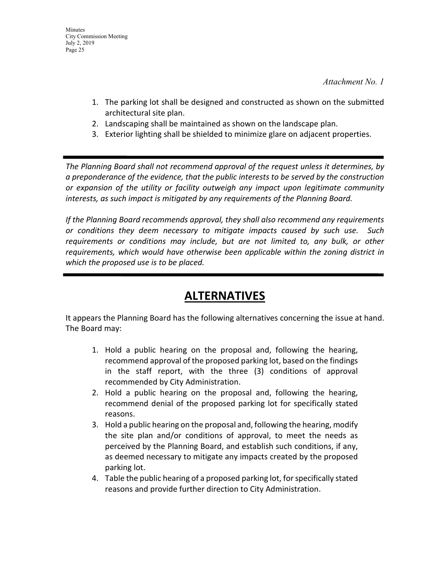*Attachment No. 1*

- 1. The parking lot shall be designed and constructed as shown on the submitted architectural site plan.
- 2. Landscaping shall be maintained as shown on the landscape plan.
- 3. Exterior lighting shall be shielded to minimize glare on adjacent properties.

*The Planning Board shall not recommend approval of the request unless it determines, by a preponderance of the evidence, that the public interests to be served by the construction or expansion of the utility or facility outweigh any impact upon legitimate community interests, as such impact is mitigated by any requirements of the Planning Board.*

*If the Planning Board recommends approval, they shall also recommend any requirements or conditions they deem necessary to mitigate impacts caused by such use. Such requirements or conditions may include, but are not limited to, any bulk, or other requirements, which would have otherwise been applicable within the zoning district in which the proposed use is to be placed.*

### **ALTERNATIVES**

It appears the Planning Board has the following alternatives concerning the issue at hand. The Board may:

- 1. Hold a public hearing on the proposal and, following the hearing, recommend approval of the proposed parking lot, based on the findings in the staff report, with the three (3) conditions of approval recommended by City Administration.
- 2. Hold a public hearing on the proposal and, following the hearing, recommend denial of the proposed parking lot for specifically stated reasons.
- 3. Hold a public hearing on the proposal and, following the hearing, modify the site plan and/or conditions of approval, to meet the needs as perceived by the Planning Board, and establish such conditions, if any, as deemed necessary to mitigate any impacts created by the proposed parking lot.
- 4. Table the public hearing of a proposed parking lot, for specifically stated reasons and provide further direction to City Administration.